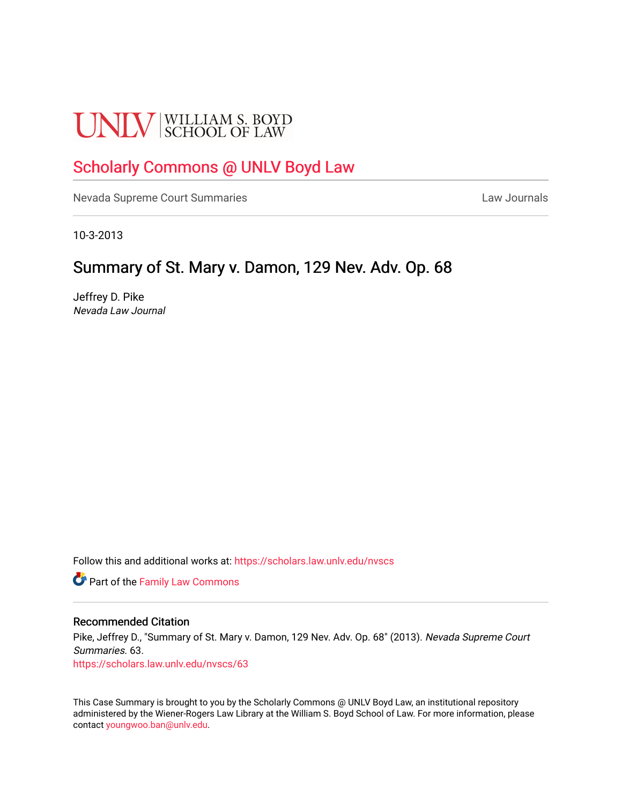# **UNLV** SCHOOL OF LAW

## [Scholarly Commons @ UNLV Boyd Law](https://scholars.law.unlv.edu/)

[Nevada Supreme Court Summaries](https://scholars.law.unlv.edu/nvscs) **Law Journals** Law Journals

10-3-2013

### Summary of St. Mary v. Damon, 129 Nev. Adv. Op. 68

Jeffrey D. Pike Nevada Law Journal

Follow this and additional works at: [https://scholars.law.unlv.edu/nvscs](https://scholars.law.unlv.edu/nvscs?utm_source=scholars.law.unlv.edu%2Fnvscs%2F63&utm_medium=PDF&utm_campaign=PDFCoverPages)

**Part of the Family Law Commons** 

#### Recommended Citation

Pike, Jeffrey D., "Summary of St. Mary v. Damon, 129 Nev. Adv. Op. 68" (2013). Nevada Supreme Court Summaries. 63. [https://scholars.law.unlv.edu/nvscs/63](https://scholars.law.unlv.edu/nvscs/63?utm_source=scholars.law.unlv.edu%2Fnvscs%2F63&utm_medium=PDF&utm_campaign=PDFCoverPages) 

This Case Summary is brought to you by the Scholarly Commons @ UNLV Boyd Law, an institutional repository administered by the Wiener-Rogers Law Library at the William S. Boyd School of Law. For more information, please contact [youngwoo.ban@unlv.edu](mailto:youngwoo.ban@unlv.edu).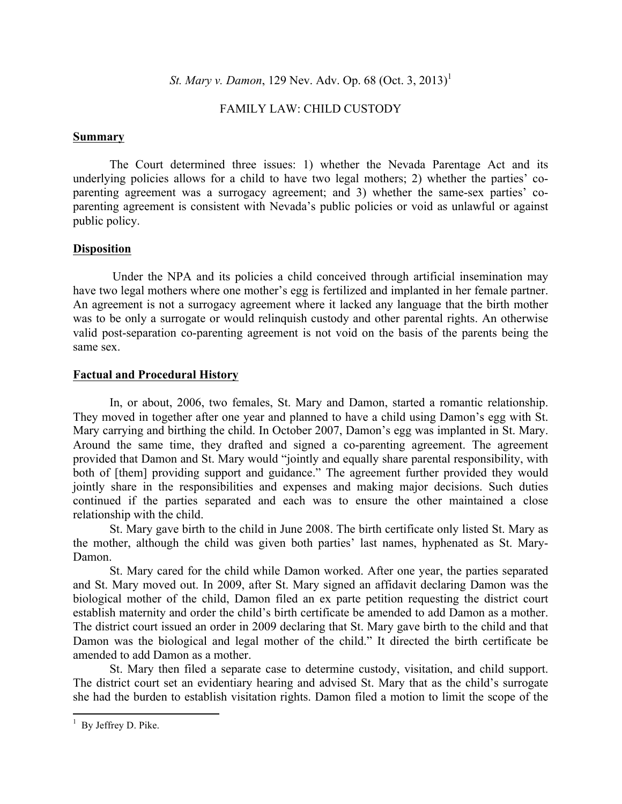*St. Mary v. Damon,* 129 Nev. Adv. Op. 68 (Oct. 3, 2013)<sup>1</sup>

#### FAMILY LAW: CHILD CUSTODY

#### **Summary**

The Court determined three issues: 1) whether the Nevada Parentage Act and its underlying policies allows for a child to have two legal mothers; 2) whether the parties' coparenting agreement was a surrogacy agreement; and 3) whether the same-sex parties' coparenting agreement is consistent with Nevada's public policies or void as unlawful or against public policy.

#### **Disposition**

Under the NPA and its policies a child conceived through artificial insemination may have two legal mothers where one mother's egg is fertilized and implanted in her female partner. An agreement is not a surrogacy agreement where it lacked any language that the birth mother was to be only a surrogate or would relinquish custody and other parental rights. An otherwise valid post-separation co-parenting agreement is not void on the basis of the parents being the same sex.

#### **Factual and Procedural History**

In, or about, 2006, two females, St. Mary and Damon, started a romantic relationship. They moved in together after one year and planned to have a child using Damon's egg with St. Mary carrying and birthing the child. In October 2007, Damon's egg was implanted in St. Mary. Around the same time, they drafted and signed a co-parenting agreement. The agreement provided that Damon and St. Mary would "jointly and equally share parental responsibility, with both of [them] providing support and guidance." The agreement further provided they would jointly share in the responsibilities and expenses and making major decisions. Such duties continued if the parties separated and each was to ensure the other maintained a close relationship with the child.

St. Mary gave birth to the child in June 2008. The birth certificate only listed St. Mary as the mother, although the child was given both parties' last names, hyphenated as St. Mary-Damon.

St. Mary cared for the child while Damon worked. After one year, the parties separated and St. Mary moved out. In 2009, after St. Mary signed an affidavit declaring Damon was the biological mother of the child, Damon filed an ex parte petition requesting the district court establish maternity and order the child's birth certificate be amended to add Damon as a mother. The district court issued an order in 2009 declaring that St. Mary gave birth to the child and that Damon was the biological and legal mother of the child." It directed the birth certificate be amended to add Damon as a mother.

St. Mary then filed a separate case to determine custody, visitation, and child support. The district court set an evidentiary hearing and advised St. Mary that as the child's surrogate she had the burden to establish visitation rights. Damon filed a motion to limit the scope of the

 

<sup>&</sup>lt;sup>1</sup> By Jeffrey D. Pike.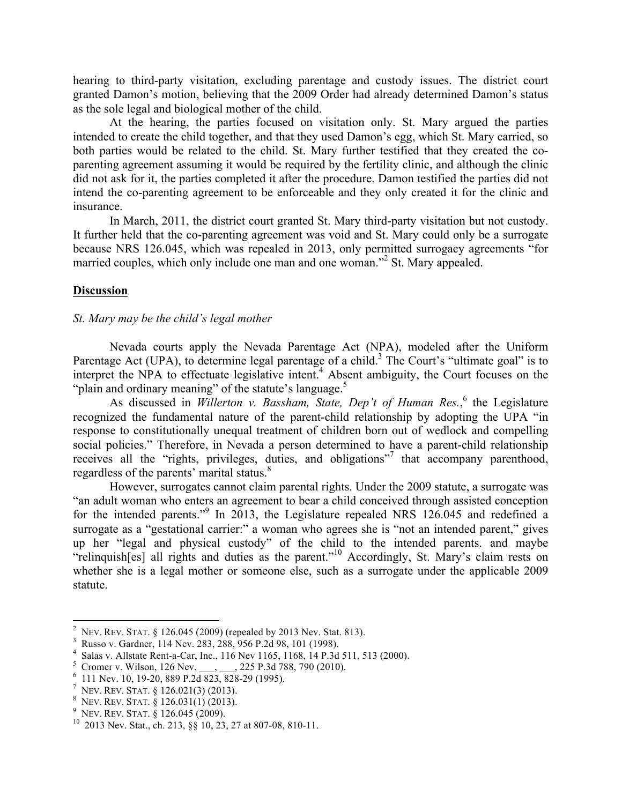hearing to third-party visitation, excluding parentage and custody issues. The district court granted Damon's motion, believing that the 2009 Order had already determined Damon's status as the sole legal and biological mother of the child.

At the hearing, the parties focused on visitation only. St. Mary argued the parties intended to create the child together, and that they used Damon's egg, which St. Mary carried, so both parties would be related to the child. St. Mary further testified that they created the coparenting agreement assuming it would be required by the fertility clinic, and although the clinic did not ask for it, the parties completed it after the procedure. Damon testified the parties did not intend the co-parenting agreement to be enforceable and they only created it for the clinic and insurance.

In March, 2011, the district court granted St. Mary third-party visitation but not custody. It further held that the co-parenting agreement was void and St. Mary could only be a surrogate because NRS 126.045, which was repealed in 2013, only permitted surrogacy agreements "for married couples, which only include one man and one woman."<sup>2</sup> St. Mary appealed.

#### **Discussion**

#### *St. Mary may be the child's legal mother*

Nevada courts apply the Nevada Parentage Act (NPA), modeled after the Uniform Parentage Act (UPA), to determine legal parentage of a child.<sup>3</sup> The Court's "ultimate goal" is to interpret the NPA to effectuate legislative intent. <sup>4</sup> Absent ambiguity, the Court focuses on the "plain and ordinary meaning" of the statute's language.<sup>5</sup>

As discussed in Willerton v. Bassham, State, Dep't of Human Res.,<sup>6</sup> the Legislature recognized the fundamental nature of the parent-child relationship by adopting the UPA "in response to constitutionally unequal treatment of children born out of wedlock and compelling social policies." Therefore, in Nevada a person determined to have a parent-child relationship receives all the "rights, privileges, duties, and obligations"<sup>7</sup> that accompany parenthood, regardless of the parents' marital status.<sup>8</sup>

However, surrogates cannot claim parental rights. Under the 2009 statute, a surrogate was "an adult woman who enters an agreement to bear a child conceived through assisted conception for the intended parents."<sup>9</sup> In 2013, the Legislature repealed NRS 126.045 and redefined a surrogate as a "gestational carrier:" a woman who agrees she is "not an intended parent," gives up her "legal and physical custody" of the child to the intended parents. and maybe "relinquish[es] all rights and duties as the parent."<sup>10</sup> Accordingly, St. Mary's claim rests on whether she is a legal mother or someone else, such as a surrogate under the applicable 2009 statute.

 

<sup>2</sup> NEV. REV. STAT. § 126.045 (2009) (repealed by 2013 Nev. Stat. 813).

Russo v. Gardner, 114 Nev. 283, 288, 956 P.2d 98, 101 (1998). <sup>4</sup>

<sup>&</sup>lt;sup>4</sup> Salas v. Allstate Rent-a-Car, Inc., 116 Nev 1165, 1168, 14 P.3d 511, 513 (2000).<br><sup>5</sup> Cromer v. Wilson, 126 Nev., 225 P.3d 788, 790 (2010).

 $\rightarrow$  225 P.3d 788, 790 (2010).

 $6$  111 Nev. 10, 19-20, 889 P.2d 823, 828-29 (1995).

NEV. REV. STAT. § 126.021(3) (2013).

 $\frac{8}{9}$  Nev. Rev. Stat. § 126.031(1) (2013).<br>9 Nev. Rev. Stat. § 126.045 (2009).

<sup>&</sup>lt;sup>10</sup> 2013 Nev. Stat., ch. 213, §§ 10, 23, 27 at 807-08, 810-11.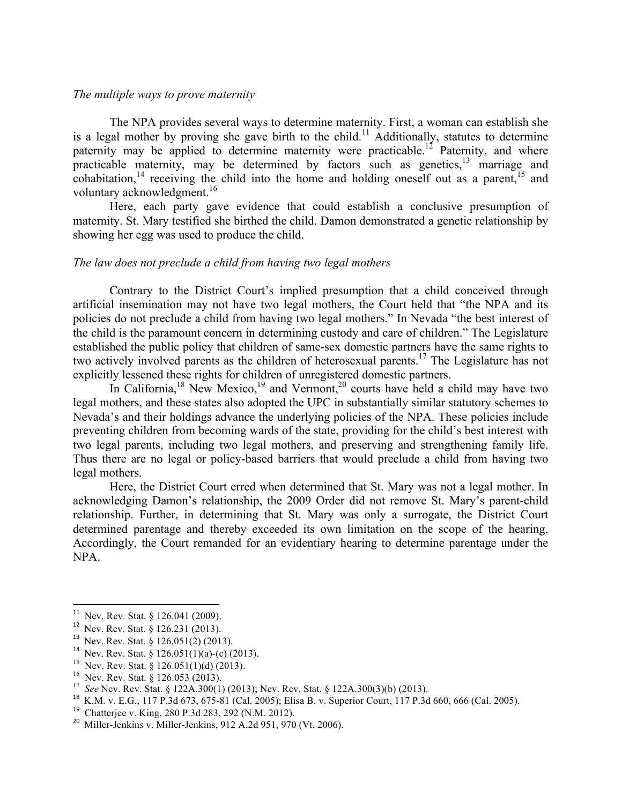#### *The multiple ways to prove maternity*

The NPA provides several ways to determine maternity. First, a woman can establish she is a legal mother by proving she gave birth to the child.<sup>11</sup> Additionally, statutes to determine paternity may be applied to determine maternity were practicable.<sup>12</sup> Paternity, and where practicable maternity, may be determined by factors such as genetics,<sup>13</sup> marriage and cohabitation,<sup>14</sup> receiving the child into the home and holding oneself out as a parent,<sup>15</sup> and voluntary acknowledgment.<sup>16</sup>

Here, each party gave evidence that could establish a conclusive presumption of maternity. St. Mary testified she birthed the child. Damon demonstrated a genetic relationship by showing her egg was used to produce the child.

#### *The law does not preclude a child from having two legal mothers*

Contrary to the District Court's implied presumption that a child conceived through artificial insemination may not have two legal mothers, the Court held that "the NPA and its policies do not preclude a child from having two legal mothers." In Nevada "the best interest of the child is the paramount concern in determining custody and care of children." The Legislature established the public policy that children of same-sex domestic partners have the same rights to two actively involved parents as the children of heterosexual parents. <sup>17</sup> The Legislature has not explicitly lessened these rights for children of unregistered domestic partners.

In California,<sup>18</sup> New Mexico,<sup>19</sup> and Vermont,<sup>20</sup> courts have held a child may have two legal mothers, and these states also adopted the UPC in substantially similar statutory schemes to Nevada's and their holdings advance the underlying policies of the NPA. These policies include preventing children from becoming wards of the state, providing for the child's best interest with two legal parents, including two legal mothers, and preserving and strengthening family life. Thus there are no legal or policy-based barriers that would preclude a child from having two legal mothers.

Here, the District Court erred when determined that St. Mary was not a legal mother. In acknowledging Damon's relationship, the 2009 Order did not remove St. Mary's parent-child relationship. Further, in determining that St. Mary was only a surrogate, the District Court determined parentage and thereby exceeded its own limitation on the scope of the hearing. Accordingly, the Court remanded for an evidentiary hearing to determine parentage under the NPA.

<sup>&</sup>lt;u> 1989 - Jan Samuel Barbara, margaret e</u> <sup>11</sup> Nev. Rev. Stat. § 126.041 (2009).

<sup>&</sup>lt;sup>12</sup> Nev. Rev. Stat. § 126.031 (2013).<br><sup>13</sup> Nev. Rev. Stat. § 126.051(2) (2013).<br><sup>14</sup> Nev. Rev. Stat. § 126.051(1)(a)-(c) (2013).<br><sup>15</sup> Nev. Rev. Stat. § 126.051(1)(d) (2013).<br><sup>15</sup> Nev. Rev. Stat. § 126.053 (2013).<br><sup>16</sup> Ne

<sup>&</sup>lt;sup>20</sup> Miller-Jenkins v. Miller-Jenkins, 912 A.2d 951, 970 (Vt. 2006).